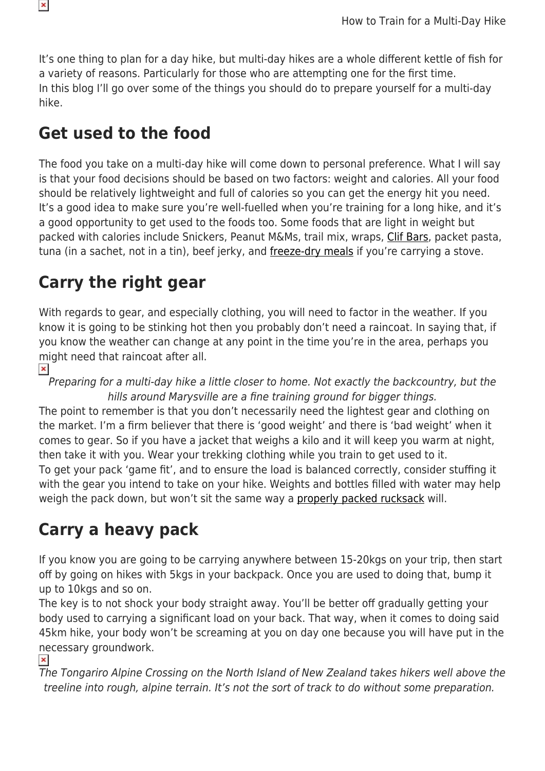

It's one thing to plan for a day hike, but multi-day hikes are a whole different kettle of fish for a variety of reasons. Particularly for those who are attempting one for the first time. In this blog I'll go over some of the things you should do to prepare yourself for a multi-day hike.

### **Get used to the food**

The food you take on a multi-day hike will come down to personal preference. What I will say is that your food decisions should be based on two factors: weight and calories. All your food should be relatively lightweight and full of calories so you can get the energy hit you need. It's a good idea to make sure you're well-fuelled when you're training for a long hike, and it's a good opportunity to get used to the foods too. Some foods that are light in weight but packed with calories include Snickers, Peanut M&Ms, trail mix, wraps, [Clif Bars,](https://www.snowys.com.au/clif-bar) packet pasta, tuna (in a sachet, not in a tin), beef jerky, and [freeze-dry meals](https://www.snowys.com.au/back-country-cuisine) if you're carrying a stove.

### **Carry the right gear**

With regards to gear, and especially clothing, you will need to factor in the weather. If you know it is going to be stinking hot then you probably don't need a raincoat. In saying that, if you know the weather can change at any point in the time you're in the area, perhaps you might need that raincoat after all.

#### $\pmb{\times}$

 $\pmb{\times}$ 

Preparing for a multi-day hike a little closer to home. Not exactly the backcountry, but the hills around Marysville are a fine training ground for bigger things.

The point to remember is that you don't necessarily need the lightest gear and clothing on the market. I'm a firm believer that there is 'good weight' and there is 'bad weight' when it comes to gear. So if you have a jacket that weighs a kilo and it will keep you warm at night, then take it with you. Wear your trekking clothing while you train to get used to it. To get your pack 'game fit', and to ensure the load is balanced correctly, consider stuffing it with the gear you intend to take on your hike. Weights and bottles filled with water may help weigh the pack down, but won't sit the same way a [properly packed rucksack](https://www.snowys.com.au/blog/beginners-guide-to-packing-a-rucksack/) will.

### **Carry a heavy pack**

If you know you are going to be carrying anywhere between 15-20kgs on your trip, then start off by going on hikes with 5kgs in your backpack. Once you are used to doing that, bump it up to 10kgs and so on.

The key is to not shock your body straight away. You'll be better off gradually getting your body used to carrying a significant load on your back. That way, when it comes to doing said 45km hike, your body won't be screaming at you on day one because you will have put in the necessary groundwork.

 $\pmb{\times}$ 

The Tongariro Alpine Crossing on the North Island of New Zealand takes hikers well above the treeline into rough, alpine terrain. It's not the sort of track to do without some preparation.